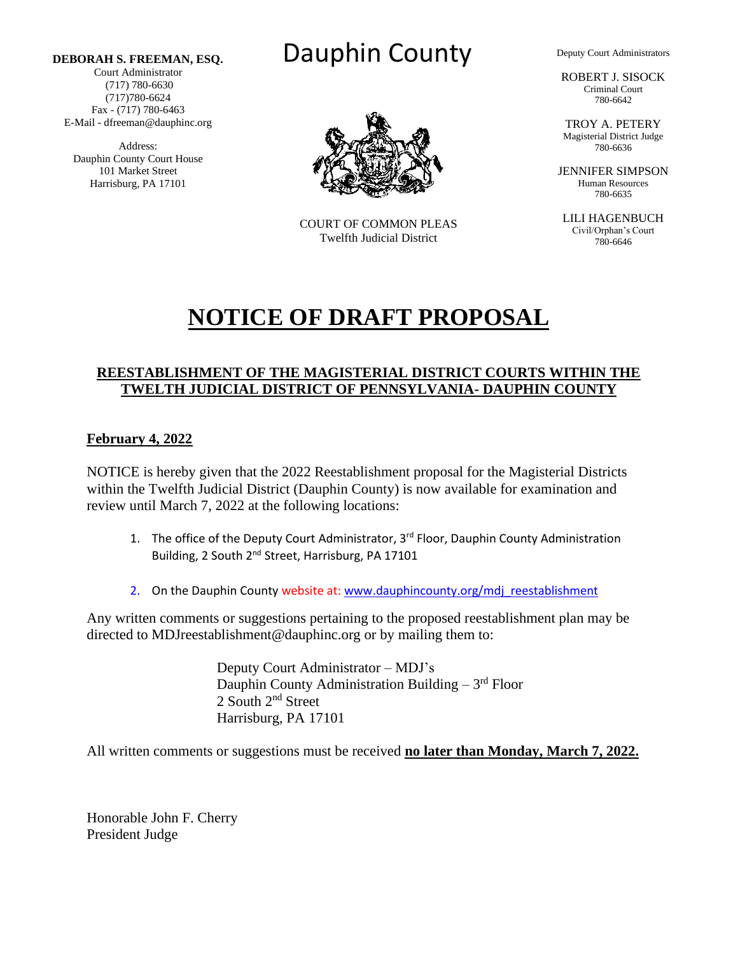Court Administrator (717) 780-6630 (717)780-6624 Fax - (717) 780-6463 E-Mail - dfreeman@dauphinc.org

Address: Dauphin County Court House 101 Market Street Harrisburg, PA 17101





COURT OF COMMON PLEAS Twelfth Judicial District

Deputy Court Administrators

ROBERT J. SISOCK Criminal Court 780-6642

TROY A. PETERY Magisterial District Judge 780-6636

JENNIFER SIMPSON Human Resources 780-6635

LILI HAGENBUCH Civil/Orphan's Court 780-6646

# **NOTICE OF DRAFT PROPOSAL**

### **REESTABLISHMENT OF THE MAGISTERIAL DISTRICT COURTS WITHIN THE TWELTH JUDICIAL DISTRICT OF PENNSYLVANIA- DAUPHIN COUNTY**

#### **February 4, 2022**

NOTICE is hereby given that the 2022 Reestablishment proposal for the Magisterial Districts within the Twelfth Judicial District (Dauphin County) is now available for examination and review until March 7, 2022 at the following locations:

- 1. The office of the Deputy Court Administrator, 3<sup>rd</sup> Floor, Dauphin County Administration Building, 2 South 2<sup>nd</sup> Street, Harrisburg, PA 17101
- 2. On the Dauphin County website at[: www.dauphincounty.org/mdj\\_reestablishment](http://www.dauphincounty.org/mdj_reestablishment/index.php)

Any written comments or suggestions pertaining to the proposed reestablishment plan may be directed to MDJreestablishment@dauphinc.org or by mailing them to:

> Deputy Court Administrator – MDJ's Dauphin County Administration Building - 3rd Floor 2 South 2<sup>nd</sup> Street Harrisburg, PA 17101

All written comments or suggestions must be received **no later than Monday, March 7, 2022.**

Honorable John F. Cherry President Judge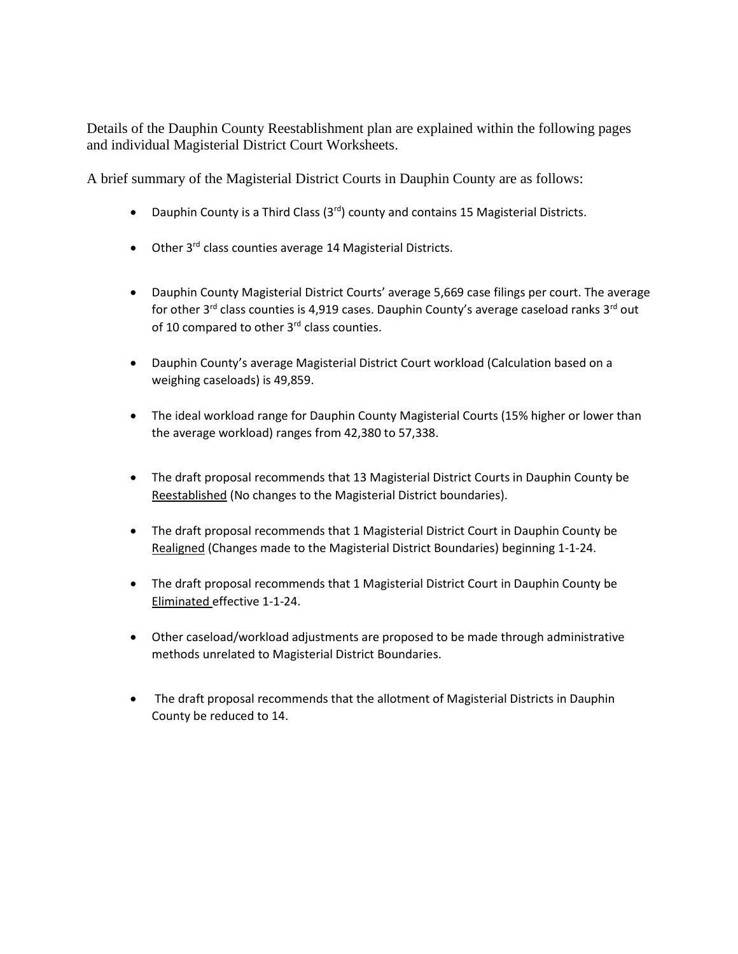Details of the Dauphin County Reestablishment plan are explained within the following pages and individual Magisterial District Court Worksheets.

A brief summary of the Magisterial District Courts in Dauphin County are as follows:

- Dauphin County is a Third Class  $(3^{rd})$  county and contains 15 Magisterial Districts.
- Other 3<sup>rd</sup> class counties average 14 Magisterial Districts.
- Dauphin County Magisterial District Courts' average 5,669 case filings per court. The average for other 3<sup>rd</sup> class counties is 4,919 cases. Dauphin County's average caseload ranks 3<sup>rd</sup> out of 10 compared to other  $3<sup>rd</sup>$  class counties.
- Dauphin County's average Magisterial District Court workload (Calculation based on a weighing caseloads) is 49,859.
- The ideal workload range for Dauphin County Magisterial Courts (15% higher or lower than the average workload) ranges from 42,380 to 57,338.
- The draft proposal recommends that 13 Magisterial District Courts in Dauphin County be Reestablished (No changes to the Magisterial District boundaries).
- The draft proposal recommends that 1 Magisterial District Court in Dauphin County be Realigned (Changes made to the Magisterial District Boundaries) beginning 1-1-24.
- The draft proposal recommends that 1 Magisterial District Court in Dauphin County be Eliminated effective 1-1-24.
- Other caseload/workload adjustments are proposed to be made through administrative methods unrelated to Magisterial District Boundaries.
- The draft proposal recommends that the allotment of Magisterial Districts in Dauphin County be reduced to 14.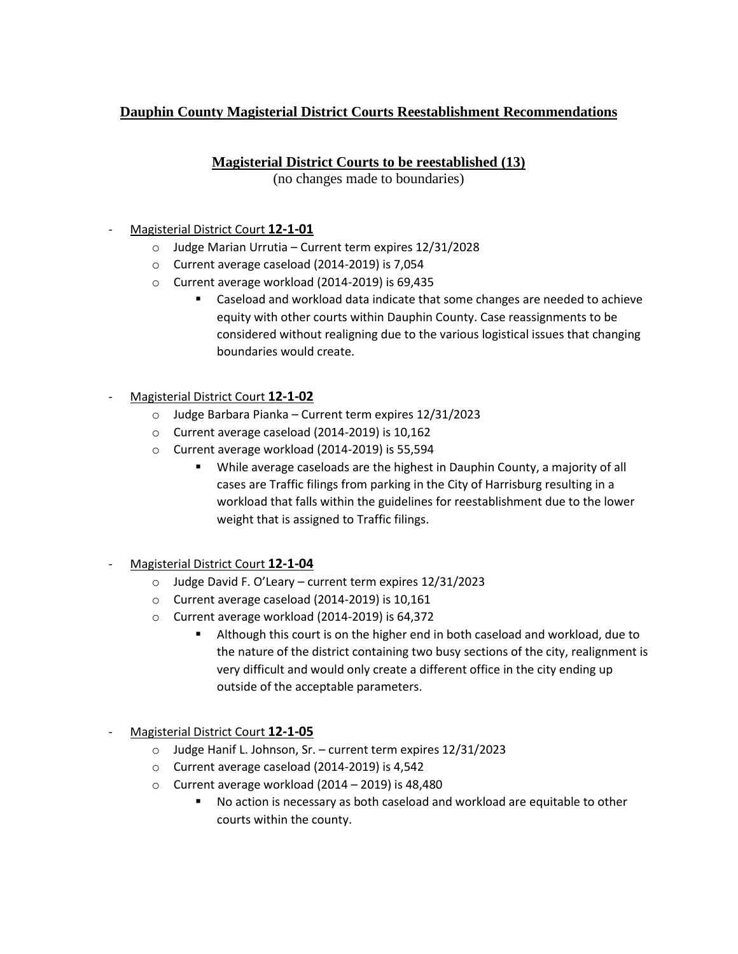# **Dauphin County Magisterial District Courts Reestablishment Recommendations**

## **Magisterial District Courts to be reestablished (13)**

(no changes made to boundaries)

#### - Magisterial District Court **12-1-01**

- o Judge Marian Urrutia Current term expires 12/31/2028
- o Current average caseload (2014-2019) is 7,054
- o Current average workload (2014-2019) is 69,435
	- Caseload and workload data indicate that some changes are needed to achieve equity with other courts within Dauphin County. Case reassignments to be considered without realigning due to the various logistical issues that changing boundaries would create.
- Magisterial District Court **12-1-02**
	- o Judge Barbara Pianka Current term expires 12/31/2023
	- o Current average caseload (2014-2019) is 10,162
	- o Current average workload (2014-2019) is 55,594
		- While average caseloads are the highest in Dauphin County, a majority of all cases are Traffic filings from parking in the City of Harrisburg resulting in a workload that falls within the guidelines for reestablishment due to the lower weight that is assigned to Traffic filings.
- Magisterial District Court **12-1-04**
	- o Judge David F. O'Leary current term expires 12/31/2023
	- o Current average caseload (2014-2019) is 10,161
	- o Current average workload (2014-2019) is 64,372
		- Although this court is on the higher end in both caseload and workload, due to the nature of the district containing two busy sections of the city, realignment is very difficult and would only create a different office in the city ending up outside of the acceptable parameters.
- Magisterial District Court **12-1-05**
	- o Judge Hanif L. Johnson, Sr. current term expires 12/31/2023
	- o Current average caseload (2014-2019) is 4,542
	- $\circ$  Current average workload (2014 2019) is 48,480
		- No action is necessary as both caseload and workload are equitable to other courts within the county.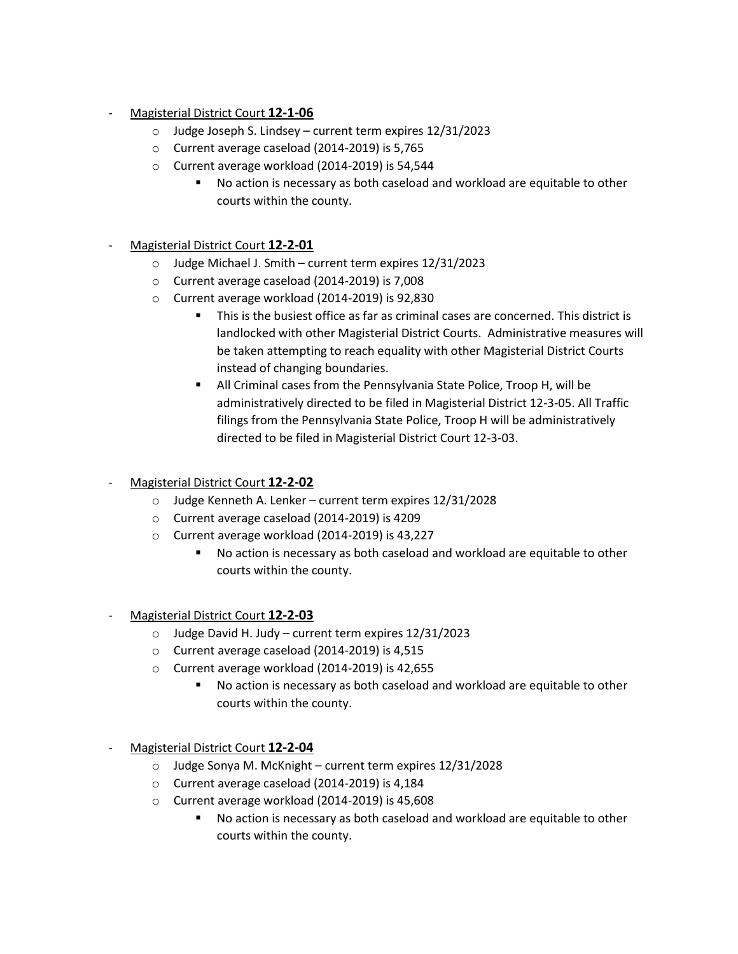- Magisterial District Court **12-1-06**
	- o Judge Joseph S. Lindsey current term expires 12/31/2023
	- o Current average caseload (2014-2019) is 5,765
	- o Current average workload (2014-2019) is 54,544
		- No action is necessary as both caseload and workload are equitable to other courts within the county.
- Magisterial District Court **12-2-01**
	- o Judge Michael J. Smith current term expires 12/31/2023
	- o Current average caseload (2014-2019) is 7,008
	- o Current average workload (2014-2019) is 92,830
		- This is the busiest office as far as criminal cases are concerned. This district is landlocked with other Magisterial District Courts. Administrative measures will be taken attempting to reach equality with other Magisterial District Courts instead of changing boundaries.
		- All Criminal cases from the Pennsylvania State Police, Troop H, will be administratively directed to be filed in Magisterial District 12-3-05. All Traffic filings from the Pennsylvania State Police, Troop H will be administratively directed to be filed in Magisterial District Court 12-3-03.
- Magisterial District Court **12-2-02**
	- o Judge Kenneth A. Lenker current term expires 12/31/2028
	- o Current average caseload (2014-2019) is 4209
	- o Current average workload (2014-2019) is 43,227
		- No action is necessary as both caseload and workload are equitable to other courts within the county.
- Magisterial District Court **12-2-03**
	- o Judge David H. Judy current term expires 12/31/2023
	- o Current average caseload (2014-2019) is 4,515
	- o Current average workload (2014-2019) is 42,655
		- No action is necessary as both caseload and workload are equitable to other courts within the county.
- Magisterial District Court **12-2-04**
	- o Judge Sonya M. McKnight current term expires 12/31/2028
	- o Current average caseload (2014-2019) is 4,184
	- o Current average workload (2014-2019) is 45,608
		- No action is necessary as both caseload and workload are equitable to other courts within the county.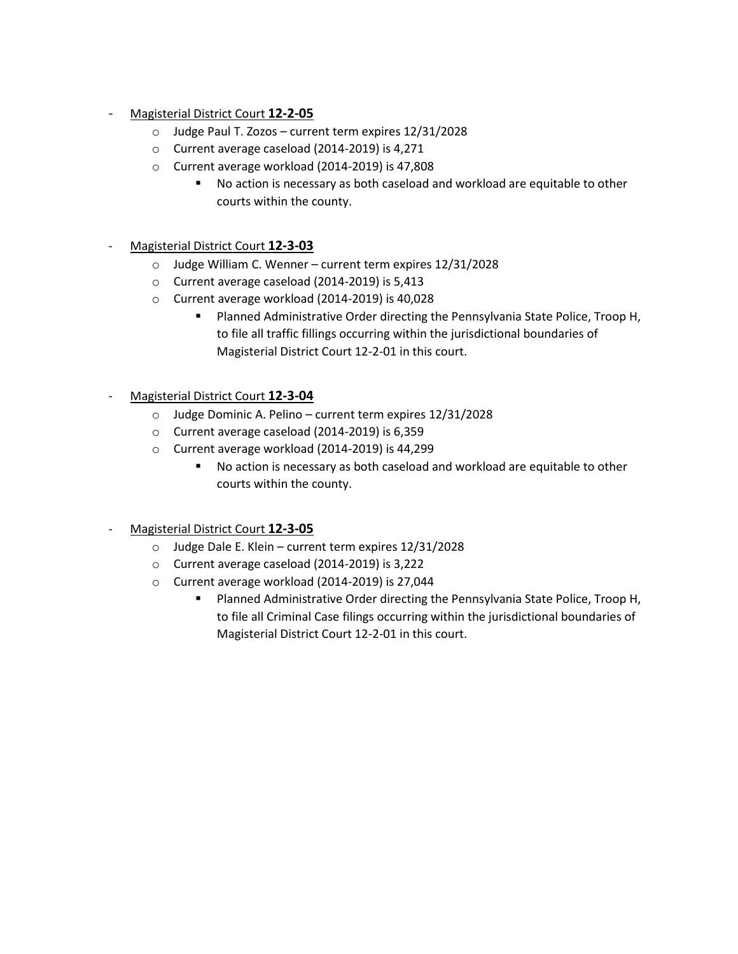- Magisterial District Court **12-2-05**
	- o Judge Paul T. Zozos current term expires 12/31/2028
	- o Current average caseload (2014-2019) is 4,271
	- o Current average workload (2014-2019) is 47,808
		- No action is necessary as both caseload and workload are equitable to other courts within the county.
- Magisterial District Court **12-3-03**
	- o Judge William C. Wenner current term expires 12/31/2028
	- o Current average caseload (2014-2019) is 5,413
	- o Current average workload (2014-2019) is 40,028
		- Planned Administrative Order directing the Pennsylvania State Police, Troop H, to file all traffic fillings occurring within the jurisdictional boundaries of Magisterial District Court 12-2-01 in this court.
- Magisterial District Court **12-3-04**
	- o Judge Dominic A. Pelino current term expires 12/31/2028
	- o Current average caseload (2014-2019) is 6,359
	- o Current average workload (2014-2019) is 44,299
		- No action is necessary as both caseload and workload are equitable to other courts within the county.
- Magisterial District Court **12-3-05**
	- o Judge Dale E. Klein current term expires 12/31/2028
	- o Current average caseload (2014-2019) is 3,222
	- o Current average workload (2014-2019) is 27,044
		- Planned Administrative Order directing the Pennsylvania State Police, Troop H, to file all Criminal Case filings occurring within the jurisdictional boundaries of Magisterial District Court 12-2-01 in this court.